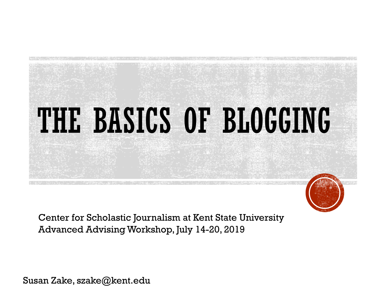

Center for Scholastic Journalism at Kent State University Advanced Advising Workshop, July 14-20, 2019

Susan Zake, szake@kent.edu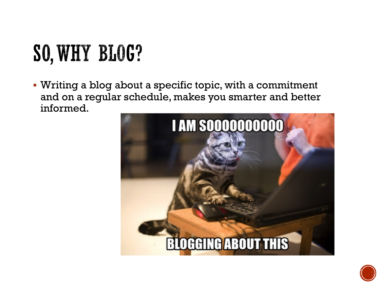# SO, WHY BLOG?

§ Writing a blog about a specific topic, with a commitment and on a regular schedule, makes you smarter and better informed.



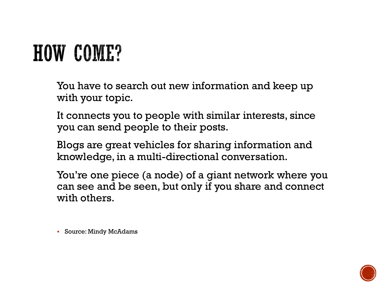## **HOW COME?**

You have to search out new information and keep up with your topic.

It connects you to people with similar interests, since you can send people to their posts.

Blogs are great vehicles for sharing information and knowledge, in a multi-directional conversation.

You're one piece (a node) of a giant network where you can see and be seen, but only if you share and connect with others.

§ Source: Mindy McAdams

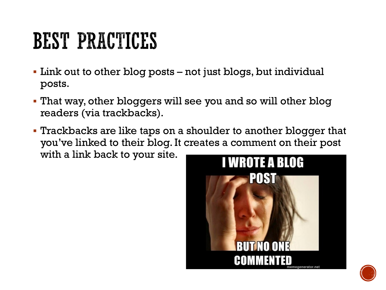# **BEST PRACTICES**

- Link out to other blog posts not just blogs, but individual posts.
- § That way, other bloggers will see you and so will other blog readers (via trackbacks).
- § Trackbacks are like taps on a shoulder to another blogger that you've linked to their blog. It creates a comment on their post with a link back to your site.



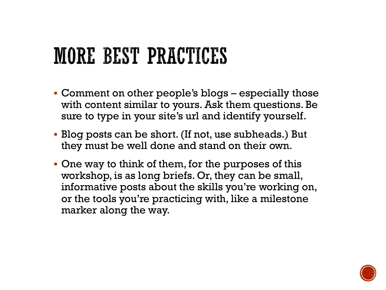#### **MORE BEST PRACTICES**

- § Comment on other people's blogs especially those with content similar to yours. Ask them questions. Be sure to type in your site's url and identify yourself.
- § Blog posts can be short. (If not, use subheads.) But they must be well done and stand on their own.
- One way to think of them, for the purposes of this workshop, is as long briefs. Or, they can be small, informative posts about the skills you're working on, or the tools you're practicing with, like a milestone marker along the way.

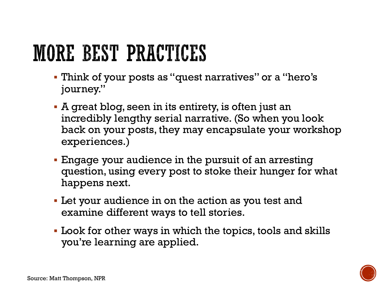# **MORE BEST PRACTICES**

- § Think of your posts as "quest narratives" or a "hero's journey."
- § A great blog, seen in its entirety, is often just an incredibly lengthy serial narrative. (So when you look back on your posts, they may encapsulate your workshop experiences.)
- § Engage your audience in the pursuit of an arresting question, using every post to stoke their hunger for what happens next.
- **Let your audience in on the action as you test and** examine different ways to tell stories.
- § Look for other ways in which the topics, tools and skills you're learning are applied.

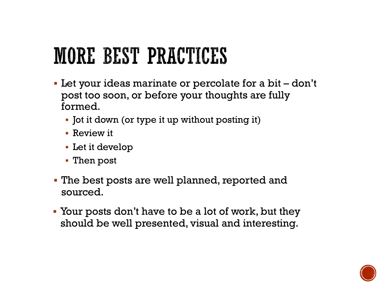### **MORE BEST PRACTICES**

- Let your ideas marinate or percolate for a bit don't post too soon, or before your thoughts are fully formed.
	- Jot it down (or type it up without posting it)
	- § Review it
	- Let it develop
	- § Then post
- § The best posts are well planned, reported and sourced.
- Your posts don't have to be a lot of work, but they should be well presented, visual and interesting.

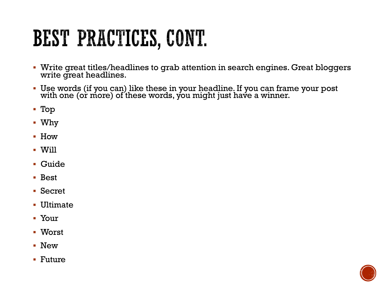# BEST PRACTICES, CONT.

- § Write great titles/headlines to grab attention in search engines. Great bloggers write great headlines.
- § Use words (if you can) like these in your headline. If you can frame your post with one (or more) of these words, you might just have a winner.
- § Top
- § Why
- § How
- § Will
- § Guide
- § Best
- § Secret
- Ultimate
- § Your
- § Worst
- § New
- § Future

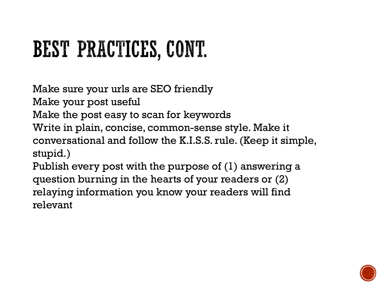# BEST PRACTICES, CONT.

Make sure your urls are SEO friendly

Make your post useful

Make the post easy to scan for keywords

Write in plain, concise, common-sense style. Make it conversational and follow the K.I.S.S. rule. (Keep it simple, stupid.)

Publish every post with the purpose of (1) answering a question burning in the hearts of your readers or (2) relaying information you know your readers will find relevant

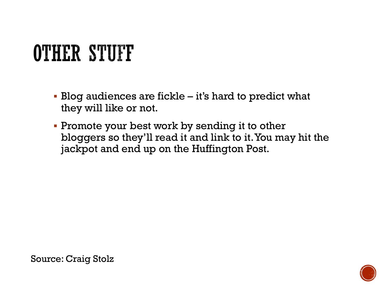# **OTHER STUFF**

- § Blog audiences are fickle it's hard to predict what they will like or not.
- Promote your best work by sending it to other bloggers so they'll read it and link to it. You may hit the jackpot and end up on the Huffington Post.

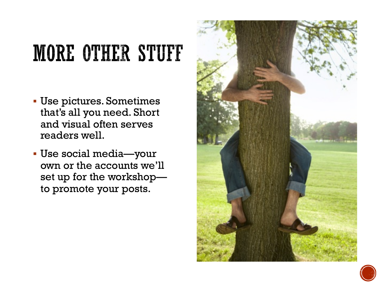# **MORE OTHER STUFF**

- § Use pictures. Sometimes that's all you need. Short and visual often serves readers well.
- § Use social media—your own or the accounts we'll set up for the workshop to promote your posts.



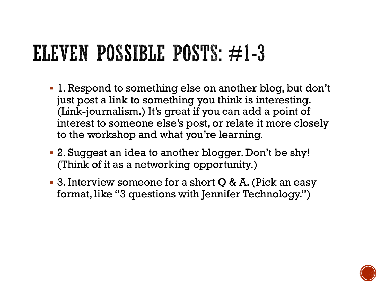## ELEVEN POSSIBLE POSTS:  $\neq$ 1-3

- § 1. Respond to something else on another blog, but don't just post a link to something you think is interesting. (Link-journalism.) It's great if you can add a point of interest to someone else's post, or relate it more closely to the workshop and what you're learning.
- § 2. Suggest an idea to another blogger. Don't be shy! (Think of it as a networking opportunity.)
- § 3. Interview someone for a short Q & A. (Pick an easy format, like "3 questions with Jennifer Technology.")

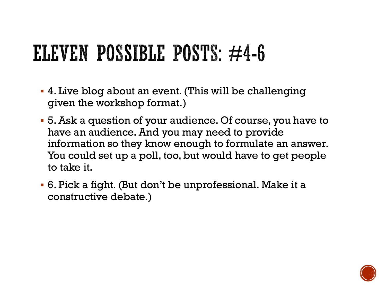# ELEVEN POSSIBLE POSTS:  $\neq$ 4-6

- § 4. Live blog about an event. (This will be challenging given the workshop format.)
- § 5. Ask a question of your audience. Of course, you have to have an audience. And you may need to provide information so they know enough to formulate an answer. You could set up a poll, too, but would have to get people to take it.
- § 6. Pick a fight. (But don't be unprofessional. Make it a constructive debate.)

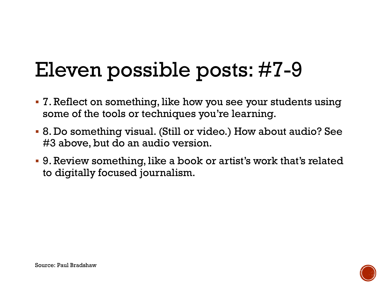#### Eleven possible posts: #7-9

- § 7. Reflect on something, like how you see your students using some of the tools or techniques you're learning.
- § 8. Do something visual. (Still or video.) How about audio? See #3 above, but do an audio version.
- § 9. Review something, like a book or artist's work that's related to digitally focused journalism.